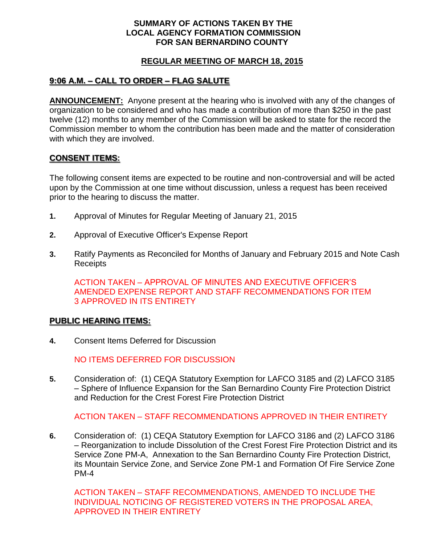### **SUMMARY OF ACTIONS TAKEN BY THE LOCAL AGENCY FORMATION COMMISSION FOR SAN BERNARDINO COUNTY**

## **REGULAR MEETING OF MARCH 18, 2015**

# **9:06 A.M. – CALL TO ORDER – FLAG SALUTE**

**ANNOUNCEMENT:** Anyone present at the hearing who is involved with any of the changes of organization to be considered and who has made a contribution of more than \$250 in the past twelve (12) months to any member of the Commission will be asked to state for the record the Commission member to whom the contribution has been made and the matter of consideration with which they are involved.

## **CONSENT ITEMS:**

The following consent items are expected to be routine and non-controversial and will be acted upon by the Commission at one time without discussion, unless a request has been received prior to the hearing to discuss the matter.

- **1.** Approval of Minutes for Regular Meeting of January 21, 2015
- **2.** Approval of Executive Officer's Expense Report
- **3.** Ratify Payments as Reconciled for Months of January and February 2015 and Note Cash Receipts

ACTION TAKEN – APPROVAL OF MINUTES AND EXECUTIVE OFFICER'S AMENDED EXPENSE REPORT AND STAFF RECOMMENDATIONS FOR ITEM 3 APPROVED IN ITS ENTIRETY

### **PUBLIC HEARING ITEMS:**

**4.** Consent Items Deferred for Discussion

NO ITEMS DEFERRED FOR DISCUSSION

**5.** Consideration of: (1) CEQA Statutory Exemption for LAFCO 3185 and (2) LAFCO 3185 – Sphere of Influence Expansion for the San Bernardino County Fire Protection District and Reduction for the Crest Forest Fire Protection District

ACTION TAKEN – STAFF RECOMMENDATIONS APPROVED IN THEIR ENTIRETY

**6.** Consideration of: (1) CEQA Statutory Exemption for LAFCO 3186 and (2) LAFCO 3186 – Reorganization to include Dissolution of the Crest Forest Fire Protection District and its Service Zone PM-A, Annexation to the San Bernardino County Fire Protection District, its Mountain Service Zone, and Service Zone PM-1 and Formation Of Fire Service Zone PM-4

ACTION TAKEN – STAFF RECOMMENDATIONS, AMENDED TO INCLUDE THE INDIVIDUAL NOTICING OF REGISTERED VOTERS IN THE PROPOSAL AREA, APPROVED IN THEIR ENTIRETY